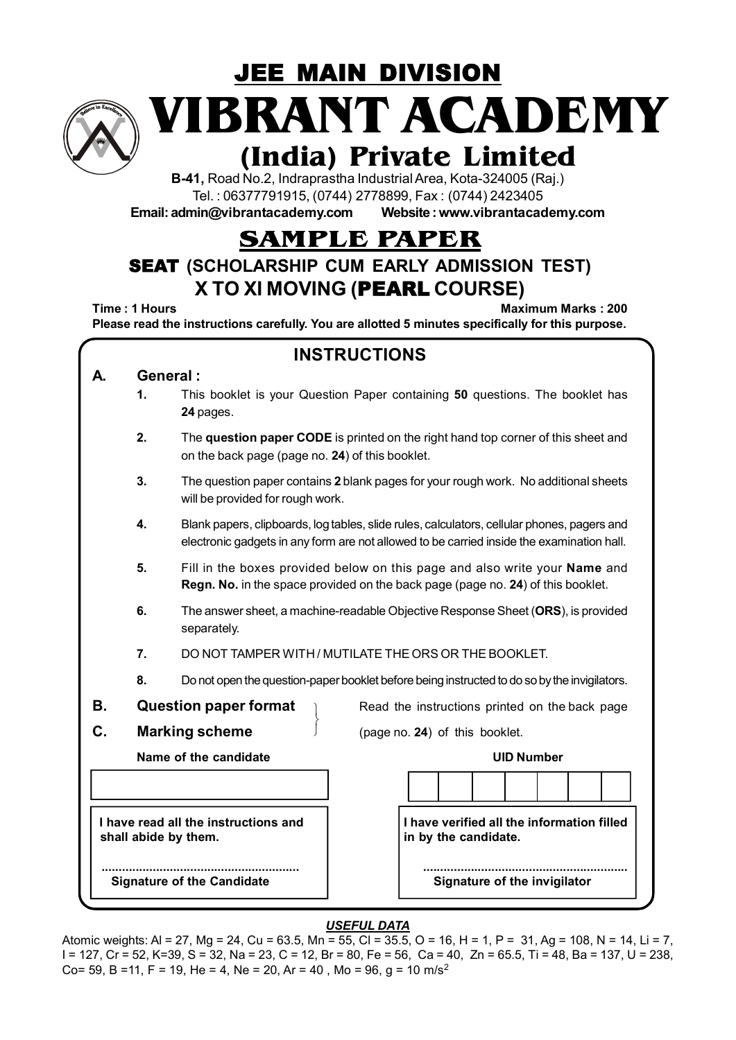

JEE MAIN DIVISION **VIBRANT ACADEMY**

# **(India) Private Limited**

**B-41,** Road No.2, Indraprastha Industrial Area, Kota-324005 (Raj.) Tel. : 06377791915, (0744) 2778899, Fax : (0744) 2423405

**Email: admin@vibrantacademy.com Website : www.vibrantacademy.com**

## **SAMPLE PAPER**

## SEAT **(SCHOLARSHIP CUM EARLY ADMISSION TEST) X TO XI MOVING (**PEARL **COURSE)**

**Time : 1 Hours Maximum Marks : 200 Please read the instructions carefully. You are allotted 5 minutes specifically for this purpose.**

| <b>INSTRUCTIONS</b>                                                                                                                                                 |          |                                                                                                                                                                                          |  |  |  |  |  |  |  |  |  |
|---------------------------------------------------------------------------------------------------------------------------------------------------------------------|----------|------------------------------------------------------------------------------------------------------------------------------------------------------------------------------------------|--|--|--|--|--|--|--|--|--|
| A.                                                                                                                                                                  | General: |                                                                                                                                                                                          |  |  |  |  |  |  |  |  |  |
|                                                                                                                                                                     | 1.       | This booklet is your Question Paper containing 50 questions. The booklet has<br>24 pages.                                                                                                |  |  |  |  |  |  |  |  |  |
|                                                                                                                                                                     | 2.       | The question paper CODE is printed on the right hand top corner of this sheet and<br>on the back page (page no. 24) of this booklet.                                                     |  |  |  |  |  |  |  |  |  |
| 3.<br>The question paper contains 2 blank pages for your rough work. No additional sheets<br>will be provided for rough work.                                       |          |                                                                                                                                                                                          |  |  |  |  |  |  |  |  |  |
|                                                                                                                                                                     | 4.       | Blank papers, clipboards, log tables, slide rules, calculators, cellular phones, pagers and<br>electronic gadgets in any form are not allowed to be carried inside the examination hall. |  |  |  |  |  |  |  |  |  |
| 5.<br>Fill in the boxes provided below on this page and also write your Name and<br>Regn. No. in the space provided on the back page (page no. 24) of this booklet. |          |                                                                                                                                                                                          |  |  |  |  |  |  |  |  |  |
| 6.<br>The answer sheet, a machine-readable Objective Response Sheet (ORS), is provided<br>separately.                                                               |          |                                                                                                                                                                                          |  |  |  |  |  |  |  |  |  |
|                                                                                                                                                                     | 7.       | DO NOT TAMPER WITH / MUTILATE THE ORS OR THE BOOKLET.<br>Do not open the question-paper booklet before being instructed to do so by the invigilators.                                    |  |  |  |  |  |  |  |  |  |
|                                                                                                                                                                     | 8.       |                                                                                                                                                                                          |  |  |  |  |  |  |  |  |  |
| В.                                                                                                                                                                  |          | <b>Question paper format</b><br>Read the instructions printed on the back page                                                                                                           |  |  |  |  |  |  |  |  |  |
| C.                                                                                                                                                                  |          | <b>Marking scheme</b><br>(page no. 24) of this booklet.                                                                                                                                  |  |  |  |  |  |  |  |  |  |
|                                                                                                                                                                     |          | Name of the candidate<br><b>UID Number</b>                                                                                                                                               |  |  |  |  |  |  |  |  |  |
|                                                                                                                                                                     |          |                                                                                                                                                                                          |  |  |  |  |  |  |  |  |  |
|                                                                                                                                                                     |          | I have verified all the information filled<br>I have read all the instructions and<br>shall abide by them.<br>in by the candidate.                                                       |  |  |  |  |  |  |  |  |  |
|                                                                                                                                                                     |          | Signature of the invigilator<br><b>Signature of the Candidate</b>                                                                                                                        |  |  |  |  |  |  |  |  |  |

#### *USEFUL DATA*

Atomic weights: Al = 27, Mg = 24, Cu = 63.5, Mn = 55, Cl = 35.5, O = 16, H = 1, P = 31, Ag = 108, N = 14, Li = 7, I = 127, Cr = 52, K=39, S = 32, Na = 23, C = 12, Br = 80, Fe = 56, Ca = 40, Zn = 65.5, Ti = 48, Ba = 137, U = 238, Co= 59, B =11, F = 19, He = 4, Ne = 20, Ar = 40, Mo = 96, q = 10 m/s<sup>2</sup>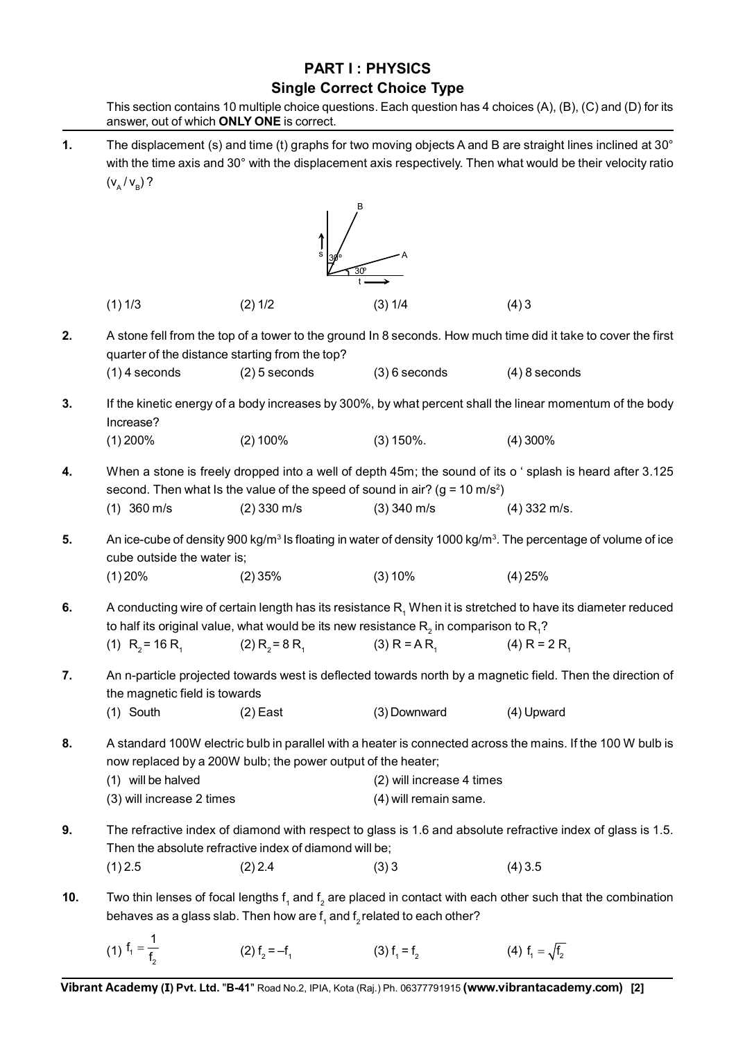### **PART I : PHYSICS Single Correct Choice Type**

This section contains 10 multiple choice questions. Each question has 4 choices (A), (B), (C) and (D) for its

answer, out of which **ONLY ONE** is correct. **1.** The displacement (s) and time (t) graphs for two moving objects A and B are straight lines inclined at 30° with the time axis and 30° with the displacement axis respectively. Then what would be their velocity ratio  $(v_{\text{A}}/v_{\text{B}})$ ? 30º 30º B A t s  $(1)$  1/3  $(2)$  1/2  $(3)$  1/4  $(4)$  3 **2.** A stone fell from the top of a tower to the ground In 8 seconds. How much time did it take to cover the first quarter of the distance starting from the top? (1) 4 seconds (2) 5 seconds (3) 6 seconds (4) 8 seconds **3.** If the kinetic energy of a body increases by 300%, by what percent shall the linear momentum of the body Increase? (1) 200% (2) 100% (3) 150%. (4) 300% **4.** When a stone is freely dropped into a well of depth 45m; the sound of its o ' splash is heard after 3.125 second. Then what Is the value of the speed of sound in air? (g = 10 m/s<sup>2</sup>) (1) 360 m/s (2) 330 m/s (3) 340 m/s (4) 332 m/s. **5.** An ice-cube of density 900 kg/m<sup>3</sup> Is floating in water of density 1000 kg/m<sup>3</sup>. The percentage of volume of ice cube outside the water is; (1) 20% (2) 35% (3) 10% (4) 25% **6.** A conducting wire of certain length has its resistance R<sub>1</sub> When it is stretched to have its diameter reduced to half its original value, what would be its new resistance  $\mathsf{R}_{_2}$  in comparison to  $\mathsf{R}_{_1}$ ? (1)  $R_2 = 16 R_1$  (2)  $R_2 = 8 R_1$  (3)  $R = AR_1$  (4)  $R = 2 R_1$ **7.** An n-particle projected towards west is deflected towards north by a magnetic field. Then the direction of the magnetic field is towards (1) South (2) East (3) Downward (4) Upward **8.** A standard 100W electric bulb in parallel with a heater is connected across the mains. If the 100 W bulb is now replaced by a 200W bulb; the power output of the heater; (1) will be halved (2) will increase 4 times (3) will increase 2 times (4) will remain same. **9.** The refractive index of diamond with respect to glass is 1.6 and absolute refractive index of glass is 1.5. Then the absolute refractive index of diamond will be;  $(1)$  2.5  $(2)$  2.4  $(3)$  3  $(4)$  3.5 **10.** Two thin lenses of focal lengths  $f_1$  and  $f_2$  are placed in contact with each other such that the combination behaves as a glass slab. Then how are  $\mathsf{f}_\mathsf{1}$  and  $\mathsf{f}_\mathsf{2}$  related to each other?

(1) 
$$
f_1 = \frac{1}{f_2}
$$
 (2)  $f_2 = -f_1$  (3)  $f_1 = f_2$  (4)  $f_1 = \sqrt{f_2}$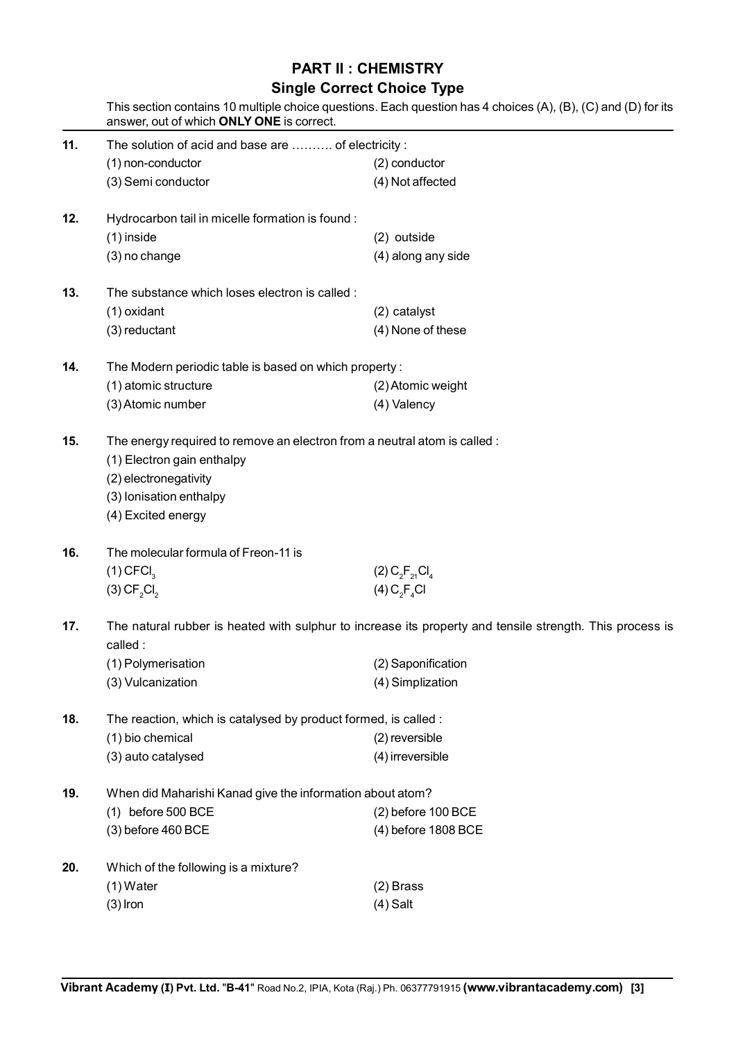### **PART II : CHEMISTRY**

#### **Single Correct Choice Type**

|     | answer, out of which ONLY ONE is correct.                                                                                                                                         | This section contains 10 multiple choice questions. Each question has 4 choices (A), (B), (C) and (D) for its |  |  |  |  |  |  |
|-----|-----------------------------------------------------------------------------------------------------------------------------------------------------------------------------------|---------------------------------------------------------------------------------------------------------------|--|--|--|--|--|--|
| 11. | The solution of acid and base are  of electricity :                                                                                                                               |                                                                                                               |  |  |  |  |  |  |
|     | (1) non-conductor                                                                                                                                                                 | (2) conductor                                                                                                 |  |  |  |  |  |  |
|     | (3) Semi conductor                                                                                                                                                                | (4) Not affected                                                                                              |  |  |  |  |  |  |
| 12. | Hydrocarbon tail in micelle formation is found:                                                                                                                                   |                                                                                                               |  |  |  |  |  |  |
|     | $(1)$ inside                                                                                                                                                                      | (2) outside                                                                                                   |  |  |  |  |  |  |
|     | (3) no change                                                                                                                                                                     | (4) along any side                                                                                            |  |  |  |  |  |  |
| 13. | The substance which loses electron is called :                                                                                                                                    |                                                                                                               |  |  |  |  |  |  |
|     | (1) oxidant                                                                                                                                                                       | (2) catalyst                                                                                                  |  |  |  |  |  |  |
|     | (3) reductant                                                                                                                                                                     | (4) None of these                                                                                             |  |  |  |  |  |  |
| 14. | The Modern periodic table is based on which property:                                                                                                                             |                                                                                                               |  |  |  |  |  |  |
|     | (1) atomic structure                                                                                                                                                              | (2) Atomic weight                                                                                             |  |  |  |  |  |  |
|     | (3) Atomic number                                                                                                                                                                 | (4) Valency                                                                                                   |  |  |  |  |  |  |
| 15. | The energy required to remove an electron from a neutral atom is called :<br>(1) Electron gain enthalpy<br>(2) electronegativity<br>(3) Ionisation enthalpy<br>(4) Excited energy |                                                                                                               |  |  |  |  |  |  |
|     |                                                                                                                                                                                   |                                                                                                               |  |  |  |  |  |  |
| 16. | The molecular formula of Freon-11 is                                                                                                                                              |                                                                                                               |  |  |  |  |  |  |
|     | $(1)$ CFCI <sub>3</sub>                                                                                                                                                           | $(2) C_2F_{21}Cl_4$                                                                                           |  |  |  |  |  |  |
|     | (3) CF <sub>2</sub> Cl <sub>2</sub>                                                                                                                                               | (4) C <sub>2</sub> F <sub>4</sub> Cl                                                                          |  |  |  |  |  |  |
| 17. | The natural rubber is heated with sulphur to increase its property and tensile strength. This process is                                                                          |                                                                                                               |  |  |  |  |  |  |
|     | called:<br>(1) Polymerisation                                                                                                                                                     | (2) Saponification                                                                                            |  |  |  |  |  |  |
|     | (3) Vulcanization                                                                                                                                                                 | (4) Simplization                                                                                              |  |  |  |  |  |  |
|     |                                                                                                                                                                                   |                                                                                                               |  |  |  |  |  |  |
| 18. | The reaction, which is catalysed by product formed, is called :                                                                                                                   |                                                                                                               |  |  |  |  |  |  |
|     | (1) bio chemical                                                                                                                                                                  | (2) reversible                                                                                                |  |  |  |  |  |  |
|     | (3) auto catalysed                                                                                                                                                                | (4) irreversible                                                                                              |  |  |  |  |  |  |
| 19. | When did Maharishi Kanad give the information about atom?                                                                                                                         |                                                                                                               |  |  |  |  |  |  |
|     | (1) before 500 BCE                                                                                                                                                                | (2) before 100 BCE                                                                                            |  |  |  |  |  |  |
|     | (3) before 460 BCE                                                                                                                                                                | (4) before 1808 BCE                                                                                           |  |  |  |  |  |  |
| 20. | Which of the following is a mixture?                                                                                                                                              |                                                                                                               |  |  |  |  |  |  |
|     | $(1)$ Water                                                                                                                                                                       | $(2)$ Brass                                                                                                   |  |  |  |  |  |  |
|     | $(3)$ Iron                                                                                                                                                                        | $(4)$ Salt                                                                                                    |  |  |  |  |  |  |
|     |                                                                                                                                                                                   |                                                                                                               |  |  |  |  |  |  |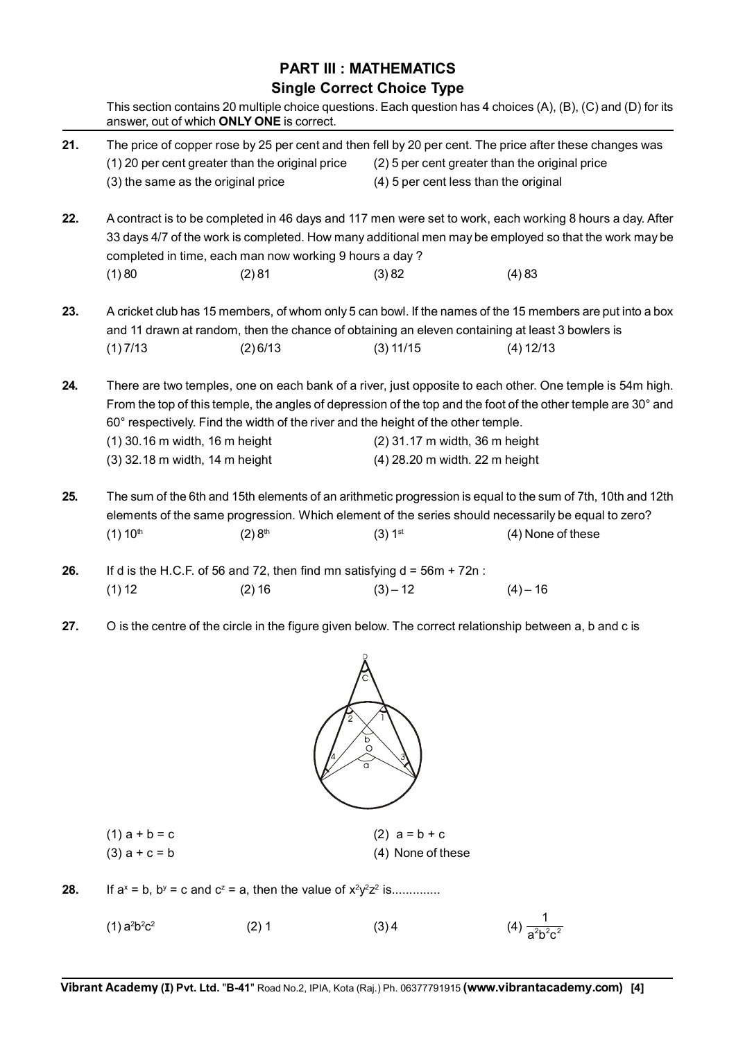### **PART III : MATHEMATICS Single Correct Choice Type**

|     | This section contains 20 multiple choice questions. Each question has 4 choices (A), (B), (C) and (D) for its<br>answer, out of which ONLY ONE is correct.                                                                                                                                                     |                                                 |                                |                                                                                                          |  |  |  |  |  |
|-----|----------------------------------------------------------------------------------------------------------------------------------------------------------------------------------------------------------------------------------------------------------------------------------------------------------------|-------------------------------------------------|--------------------------------|----------------------------------------------------------------------------------------------------------|--|--|--|--|--|
| 21. | The price of copper rose by 25 per cent and then fell by 20 per cent. The price after these changes was                                                                                                                                                                                                        |                                                 |                                |                                                                                                          |  |  |  |  |  |
|     |                                                                                                                                                                                                                                                                                                                | (1) 20 per cent greater than the original price |                                | (2) 5 per cent greater than the original price                                                           |  |  |  |  |  |
|     |                                                                                                                                                                                                                                                                                                                | (3) the same as the original price              |                                | (4) 5 per cent less than the original                                                                    |  |  |  |  |  |
| 22. |                                                                                                                                                                                                                                                                                                                |                                                 |                                | A contract is to be completed in 46 days and 117 men were set to work, each working 8 hours a day. After |  |  |  |  |  |
|     | 33 days 4/7 of the work is completed. How many additional men may be employed so that the work may be<br>completed in time, each man now working 9 hours a day?                                                                                                                                                |                                                 |                                |                                                                                                          |  |  |  |  |  |
|     | (1)80                                                                                                                                                                                                                                                                                                          | (2)81                                           | (3)82                          | (4)83                                                                                                    |  |  |  |  |  |
| 23. | A cricket club has 15 members, of whom only 5 can bowl. If the names of the 15 members are put into a box<br>and 11 drawn at random, then the chance of obtaining an eleven containing at least 3 bowlers is                                                                                                   |                                                 |                                |                                                                                                          |  |  |  |  |  |
|     | (1)7/13                                                                                                                                                                                                                                                                                                        | (2) 6/13                                        | (3) 11/15                      | (4) 12/13                                                                                                |  |  |  |  |  |
| 24. | There are two temples, one on each bank of a river, just opposite to each other. One temple is 54m high.<br>From the top of this temple, the angles of depression of the top and the foot of the other temple are 30° and<br>60° respectively. Find the width of the river and the height of the other temple. |                                                 |                                |                                                                                                          |  |  |  |  |  |
|     |                                                                                                                                                                                                                                                                                                                | (1) 30.16 m width, 16 m height                  | (2) 31.17 m width, 36 m height |                                                                                                          |  |  |  |  |  |
|     |                                                                                                                                                                                                                                                                                                                | (3) 32.18 m width, 14 m height                  | (4) 28.20 m width. 22 m height |                                                                                                          |  |  |  |  |  |
| 25. | The sum of the 6th and 15th elements of an arithmetic progression is equal to the sum of 7th, 10th and 12th<br>elements of the same progression. Which element of the series should necessarily be equal to zero?                                                                                              |                                                 |                                |                                                                                                          |  |  |  |  |  |
|     | $(1) 10^{th}$                                                                                                                                                                                                                                                                                                  | (2) 8 <sup>th</sup>                             | $(3) 1^{st}$                   | (4) None of these                                                                                        |  |  |  |  |  |
| 26. | If d is the H.C.F. of 56 and 72, then find mn satisfying $d = 56m + 72n$ :                                                                                                                                                                                                                                     |                                                 |                                |                                                                                                          |  |  |  |  |  |
|     | (1) 12                                                                                                                                                                                                                                                                                                         | (2) 16                                          | $(3) - 12$                     | $(4) - 16$                                                                                               |  |  |  |  |  |
| 27. |                                                                                                                                                                                                                                                                                                                |                                                 |                                | O is the centre of the circle in the figure given below. The correct relationship between a, b and c is  |  |  |  |  |  |
|     |                                                                                                                                                                                                                                                                                                                |                                                 |                                |                                                                                                          |  |  |  |  |  |



(3)  $a + c = b$  (4) None of these

**28.** If  $a^x = b$ ,  $b^y = c$  and  $c^z = a$ , then the value of  $x^2y^2z^2$  is..............

| (2) 1 | (3)4 | (4) $\frac{1}{a^2b^2c^2}$ |
|-------|------|---------------------------|
|       |      |                           |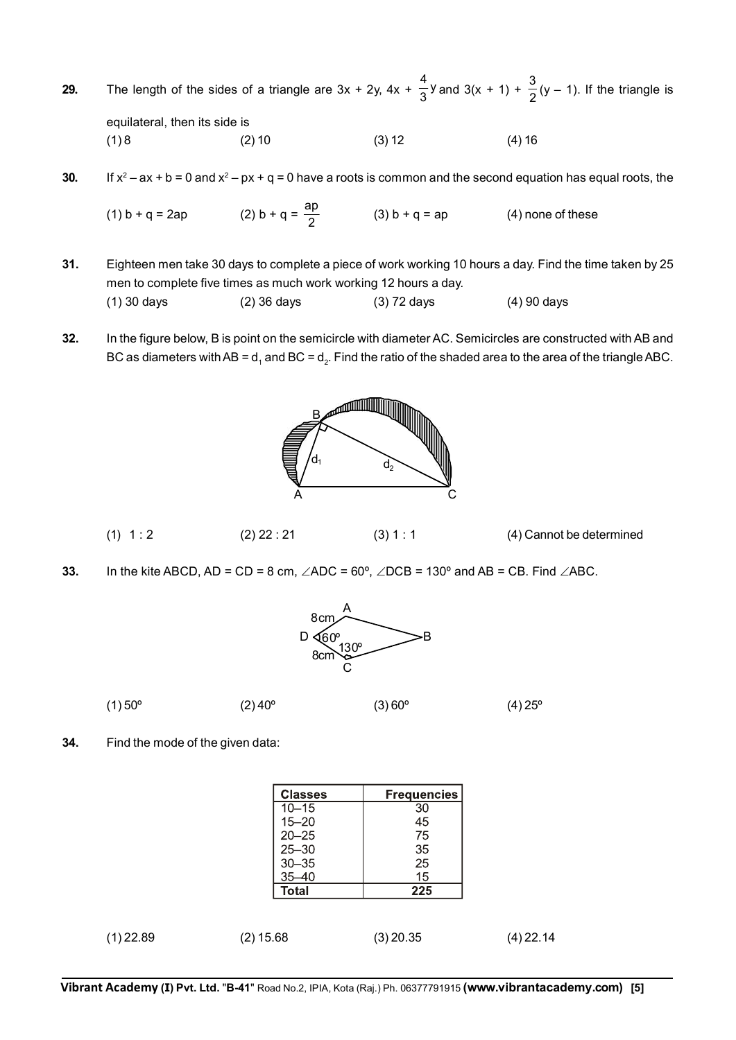**29.** The length of the sides of a triangle are 3x + 2y, 4x +  $\frac{4}{3}$ y and 3(x + 1) +  $\frac{3}{2}$ (y – 1). If the triangle is equilateral, then its side is  $(1) 8$   $(2) 10$   $(3) 12$   $(4) 16$ 

**30.** If  $x^2 - ax + b = 0$  and  $x^2 - px + q = 0$  have a roots is common and the second equation has equal roots, the

(1) b + q = 2ap (2) b + q =  $\frac{ap}{2}$  (3) b + q = ap (4) none of these

- **31.** Eighteen men take 30 days to complete a piece of work working 10 hours a day. Find the time taken by 25 men to complete five times as much work working 12 hours a day. (1) 30 days (2) 36 days (3) 72 days (4) 90 days
- **32.** In the figure below, B is point on the semicircle with diameter AC. Semicircles are constructed with AB and BC as diameters with AB = d<sub>1</sub> and BC = d<sub>2</sub>. Find the ratio of the shaded area to the area of the triangle ABC.



- (1)  $1 : 2$  (2)  $22 : 21$  (3)  $1 : 1$  (4) Cannot be determined
- **33.** In the kite ABCD, AD = CD = 8 cm,  $\angle$ ADC = 60°,  $\angle$ DCB = 130° and AB = CB. Find  $\angle$ ABC.



(1) 50°  $(2)$  40°  $(3)$  60°  $(4)$  25°

**34.** Find the mode of the given data:

|             | <b>Classes</b> | <b>Frequencies</b> |           |
|-------------|----------------|--------------------|-----------|
|             | $10 - 15$      | 30                 |           |
|             | $15 - 20$      | 45                 |           |
|             | $20 - 25$      | 75                 |           |
|             | $25 - 30$      | 35                 |           |
|             | $30 - 35$      | 25                 |           |
|             | $35 - 40$      | 15                 |           |
|             | <b>Total</b>   | 225                |           |
|             |                |                    |           |
| $(1)$ 22.89 | $(2)$ 15.68    | $(3)$ 20.35        | (4) 22.14 |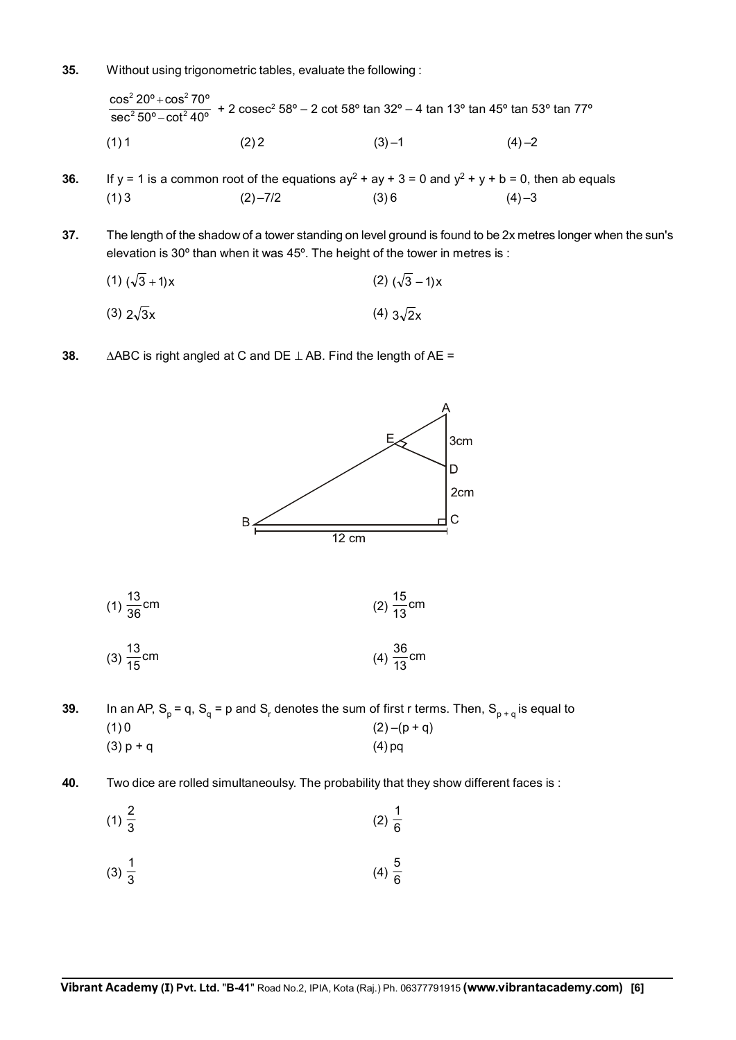**35.** Without using trigonometric tables, evaluate the following :

 $2.200 \times 200^{2}$  $2 \text{ E} \Omega^0$   $\Omega^{-1}$  $\cos^2 20^\circ + \cos^2 70^\circ$  $\sec^2 50^\circ - \cot^2 40^\circ$  $\frac{+ \cos^2 70^{\circ}}{- \cot^2 40^{\circ}}$  + 2 cosec $^2$  58° – 2 cot 58° tan 32° – 4 tan 13° tan 45° tan 53° tan 77°  $(1) 1$   $(2) 2$   $(3) -1$   $(4) -2$ 

**36.** If y = 1 is a common root of the equations  $ay^2 + ay + 3 = 0$  and  $y^2 + y + b = 0$ , then ab equals (1) 3 (2) –7/2 (3) 6 (4) –3

**37.** The length of the shadow of a tower standing on level ground is found to be 2x metres longer when the sun's elevation is 30º than when it was 45º. The height of the tower in metres is :

$$
(1) (\sqrt{3} + 1)x
$$
 (2)  $(\sqrt{3} - 1)x$ 

- (3)  $2\sqrt{3}x$  (4)  $3\sqrt{2}x$
- **38.**  $\triangle ABC$  is right angled at C and DE  $\perp$  AB. Find the length of AE =



(1) 
$$
\frac{13}{36}
$$
 cm  
\n(2)  $\frac{15}{13}$  cm  
\n(3)  $\frac{13}{15}$  cm  
\n(4)  $\frac{36}{13}$  cm

**39.** In an AP, S<sub>p</sub> = q, S<sub>q</sub> = p and S<sub>r</sub> denotes the sum of first r terms. Then, S<sub>p + q</sub> is equal to (1) 0  $(2)-(p+q)$  $(3) p + q$  (4) pq

- **40.** Two dice are rolled simultaneoulsy. The probability that they show different faces is :
	- $(1)\frac{2}{3}$  $(2) \frac{1}{6}$
	- $(3) \frac{1}{3}$  $(4)\frac{5}{6}$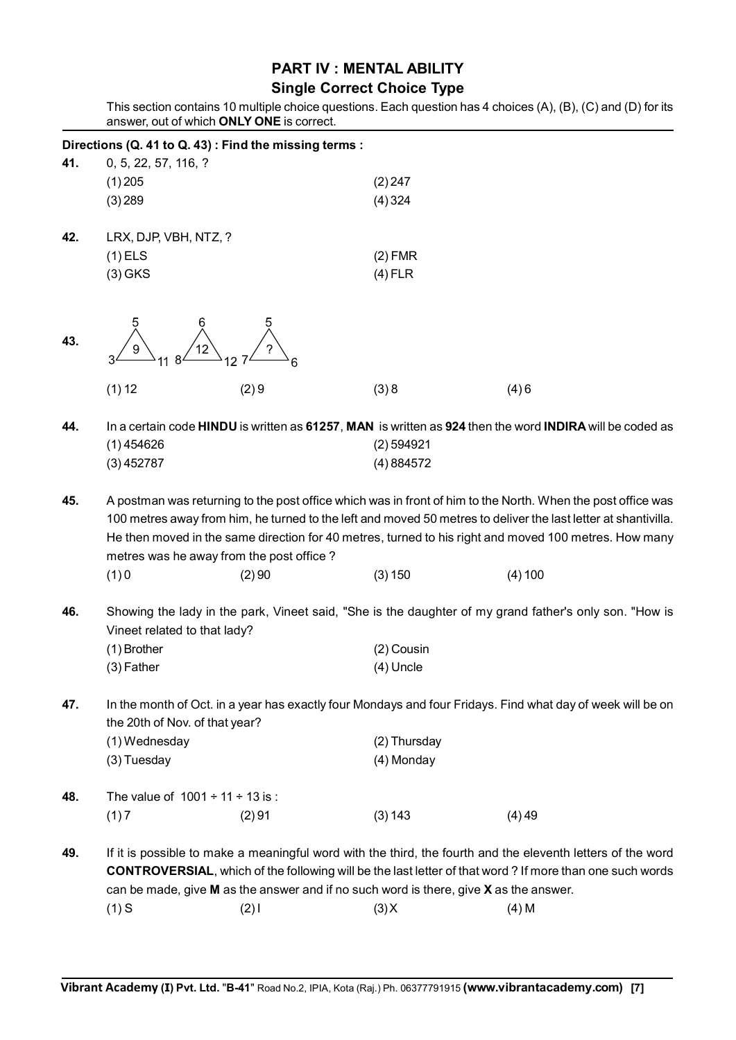### **PART IV : MENTAL ABILITY**

#### **Single Correct Choice Type**

This section contains 10 multiple choice questions. Each question has 4 choices (A), (B), (C) and (D) for its answer, out of which **ONLY ONE** is correct.

|     |                                                                                                                                                                                                                                                                                                                                                                                    | Directions (Q. 41 to Q. 43) : Find the missing terms :                                    |                         |                                                                                                                                                                                                                               |  |  |  |  |  |
|-----|------------------------------------------------------------------------------------------------------------------------------------------------------------------------------------------------------------------------------------------------------------------------------------------------------------------------------------------------------------------------------------|-------------------------------------------------------------------------------------------|-------------------------|-------------------------------------------------------------------------------------------------------------------------------------------------------------------------------------------------------------------------------|--|--|--|--|--|
| 41. | 0, 5, 22, 57, 116, ?                                                                                                                                                                                                                                                                                                                                                               |                                                                                           |                         |                                                                                                                                                                                                                               |  |  |  |  |  |
|     | $(1)$ 205                                                                                                                                                                                                                                                                                                                                                                          |                                                                                           | (2) 247                 |                                                                                                                                                                                                                               |  |  |  |  |  |
|     | (3) 289                                                                                                                                                                                                                                                                                                                                                                            |                                                                                           | $(4)$ 324               |                                                                                                                                                                                                                               |  |  |  |  |  |
| 42. | LRX, DJP, VBH, NTZ, ?                                                                                                                                                                                                                                                                                                                                                              |                                                                                           |                         |                                                                                                                                                                                                                               |  |  |  |  |  |
|     | $(1)$ ELS                                                                                                                                                                                                                                                                                                                                                                          |                                                                                           | $(2)$ FMR               |                                                                                                                                                                                                                               |  |  |  |  |  |
|     | $(3)$ GKS                                                                                                                                                                                                                                                                                                                                                                          |                                                                                           | $(4)$ FLR               |                                                                                                                                                                                                                               |  |  |  |  |  |
| 43. |                                                                                                                                                                                                                                                                                                                                                                                    |                                                                                           |                         |                                                                                                                                                                                                                               |  |  |  |  |  |
|     | (1) 12                                                                                                                                                                                                                                                                                                                                                                             | (2)9                                                                                      | (3)8                    | (4)6                                                                                                                                                                                                                          |  |  |  |  |  |
| 44. | $(1)$ 454626<br>(3)452787                                                                                                                                                                                                                                                                                                                                                          |                                                                                           | (2) 594921<br>(4)884572 | In a certain code HINDU is written as 61257, MAN is written as 924 then the word INDIRA will be coded as                                                                                                                      |  |  |  |  |  |
| 45. | A postman was returning to the post office which was in front of him to the North. When the post office was<br>100 metres away from him, he turned to the left and moved 50 metres to deliver the last letter at shantivilla.<br>He then moved in the same direction for 40 metres, turned to his right and moved 100 metres. How many<br>metres was he away from the post office? |                                                                                           |                         |                                                                                                                                                                                                                               |  |  |  |  |  |
|     | (1)0                                                                                                                                                                                                                                                                                                                                                                               | (2)90                                                                                     | (3) 150                 | (4) 100                                                                                                                                                                                                                       |  |  |  |  |  |
| 46. | Showing the lady in the park, Vineet said, "She is the daughter of my grand father's only son. "How is<br>Vineet related to that lady?                                                                                                                                                                                                                                             |                                                                                           |                         |                                                                                                                                                                                                                               |  |  |  |  |  |
|     | (1) Brother                                                                                                                                                                                                                                                                                                                                                                        |                                                                                           | (2) Cousin              |                                                                                                                                                                                                                               |  |  |  |  |  |
|     | $(3)$ Father                                                                                                                                                                                                                                                                                                                                                                       |                                                                                           | (4) Uncle               |                                                                                                                                                                                                                               |  |  |  |  |  |
| 47. | In the month of Oct. in a year has exactly four Mondays and four Fridays. Find what day of week will be on<br>the 20th of Nov. of that year?<br>(1) Wednesday<br>(2) Thursday                                                                                                                                                                                                      |                                                                                           |                         |                                                                                                                                                                                                                               |  |  |  |  |  |
|     | (3) Tuesday                                                                                                                                                                                                                                                                                                                                                                        |                                                                                           | (4) Monday              |                                                                                                                                                                                                                               |  |  |  |  |  |
|     |                                                                                                                                                                                                                                                                                                                                                                                    |                                                                                           |                         |                                                                                                                                                                                                                               |  |  |  |  |  |
| 48. | The value of $1001 \div 11 \div 13$ is :                                                                                                                                                                                                                                                                                                                                           |                                                                                           |                         |                                                                                                                                                                                                                               |  |  |  |  |  |
|     | (1)7                                                                                                                                                                                                                                                                                                                                                                               | (2)91                                                                                     | (3) 143                 | (4)49                                                                                                                                                                                                                         |  |  |  |  |  |
| 49. |                                                                                                                                                                                                                                                                                                                                                                                    | can be made, give $M$ as the answer and if no such word is there, give $X$ as the answer. |                         | If it is possible to make a meaningful word with the third, the fourth and the eleventh letters of the word<br><b>CONTROVERSIAL, which of the following will be the last letter of that word? If more than one such words</b> |  |  |  |  |  |
|     | $(1)$ S                                                                                                                                                                                                                                                                                                                                                                            | $(2)$ l                                                                                   | (3)X                    | $(4)$ M                                                                                                                                                                                                                       |  |  |  |  |  |